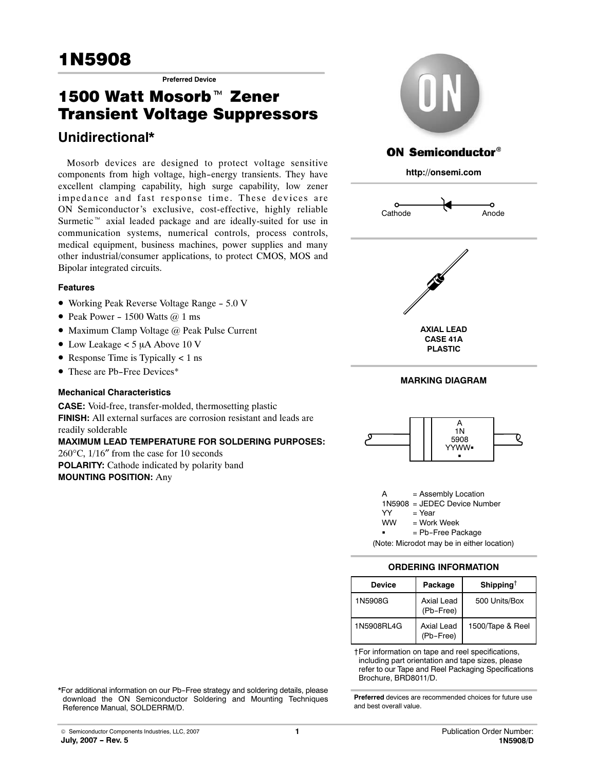# <u>1990 - Johann Johann Johann Johann Johann Johann Johann Johann Johann Johann Johann Johann Johann Johann Johann Johann Johann Johann Johann Johann Johann Johann Johann Johann Johann Johann Johann Johann Johann Johann Joha</u>

**Preferred Device** 

# 1N5908<br>T<sup>Preferred Device</sup><br>1500 Watt Mosorb™ Zener **Transient Voltage Suppressors** Transient Voltage Suppressors

# **Unidirectional\***

Mosorb devices are designed to protect voltage sensitive components from high voltage, high-energy transients. They have excellent clamping capability, high surge capability, low zener impedance and fast response time. These devices are ON Semiconductor's exclusive, cost-effective, highly reliable Surmetic<sup>™</sup> axial leaded package and are ideally-suited for use in communication systems, numerical controls, process controls, medical equipment, business machines, power supplies and many other industrial/consumer applications, to protect CMOS, MOS and Bipolar integrated circuits.

# **Features**

- Working Peak Reverse Voltage Range 5.0 V
- Peak Power 1500 Watts  $@1$  ms
- Maximum Clamp Voltage @ Peak Pulse Current
- $\bullet$  Low Leakage < 5 µA Above 10 V
- Response Time is Typically < 1 ns
- These are Pb-Free Devices\*

# **Mechanical Characteristics**

**CASE:** Void‐free, transfer‐molded, thermosetting plastic **FINISH:** All external surfaces are corrosion resistant and leads are readily solderable **MAXIMUM LEAD TEMPERATURE FOR SOLDERING PURPOSES:** 260°C, 1/16″ from the case for 10 seconds **POLARITY:** Cathode indicated by polarity band

**MOUNTING POSITION:** Any







A = Assembly Location 1N5908 = JEDEC Device Number YY = Year<br>WW = Work = Work Week = Pb-Free Package

(Note: Microdot may be in either location)

# **ORDERING INFORMATION**

| <b>Device</b> | Package                 | Shipping <sup>†</sup> |
|---------------|-------------------------|-----------------------|
| 1N5908G       | Axial Lead<br>(Pb-Free) | 500 Units/Box         |
| 1N5908RI4G    | Axial Lead<br>(Pb-Free) | 1500/Tape & Reel      |

†For information on tape and reel specifications, including part orientation and tape sizes, please refer to our Tape and Reel Packaging Specifications Brochure, BRD8011/D.

**Preferred** devices are recommended choices for future use

and best overall value.

\*For additional information on our Pb-Free strategy and soldering details, please download the ON Semiconductor Soldering and Mounting Techniques Reference Manual, SOLDERRM/D.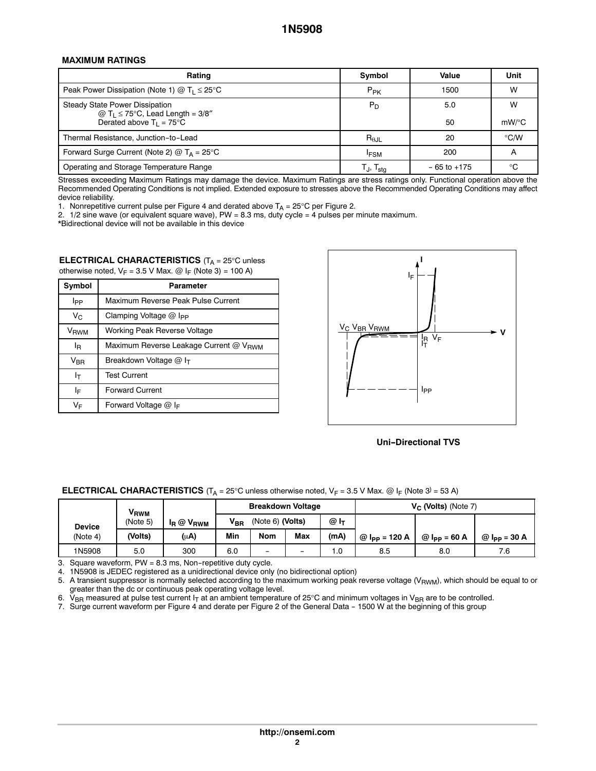#### **MAXIMUM RATINGS**

| Rating                                                                                | Symbol                                               | Value           | Unit          |
|---------------------------------------------------------------------------------------|------------------------------------------------------|-----------------|---------------|
| Peak Power Dissipation (Note 1) $@$ T <sub>1</sub> $\leq$ 25°C                        | $P_{PK}$                                             | 1500            | W             |
| <b>Steady State Power Dissipation</b><br>@ $T_1 \le 75^{\circ}$ C, Lead Length = 3/8" | $P_D$                                                | 5.0             | W             |
| Derated above $T_1 = 75^{\circ}$ C                                                    |                                                      | 50              | $mW$ /°C      |
| Thermal Resistance, Junction-to-Lead                                                  | $R_{\theta \text{JL}}$                               | 20              | $\degree$ C/W |
| Forward Surge Current (Note 2) $@$ T <sub>A</sub> = 25 <sup>°</sup> C                 | <b>IFSM</b>                                          | 200             | A             |
| Operating and Storage Temperature Range                                               | $\mathsf{T}_{\mathsf{J}}, \mathsf{T}_{\mathsf{stg}}$ | $-65$ to $+175$ | ം             |

Stresses exceeding Maximum Ratings may damage the device. Maximum Ratings are stress ratings only. Functional operation above the Recommended Operating Conditions is not implied. Extended exposure to stresses above the Recommended Operating Conditions may affect device reliability.

1. Nonrepetitive current pulse per Figure [4](#page-2-0) and derated above T<sub>A</sub> = 25°C per Figure [2.](#page-2-0)<br>2. 1/2 sine wave (or equivalent square wave), PW = 8.3 ms, duty cycle = 4 pulses per minute maximum.

\*Bidirectional device will not be available in this device

#### **ELECTRICAL CHARACTERISTICS** (T<sub>A</sub> = 25°C unless otherwise noted,  $V_F = 3.5$  V Max. @ I<sub>F</sub> (Note 3) = 100 A)

| Symbol           | <b>Parameter</b>                                   |  |  |  |
|------------------|----------------------------------------------------|--|--|--|
| Ipp              | Maximum Reverse Peak Pulse Current                 |  |  |  |
| $V_{C}$          | Clamping Voltage $@$ l <sub>PP</sub>               |  |  |  |
| V <sub>RWM</sub> | Working Peak Reverse Voltage                       |  |  |  |
| ΙŖ               | Maximum Reverse Leakage Current @ V <sub>RWM</sub> |  |  |  |
| V <sub>BR</sub>  | Breakdown Voltage @ I <sub>T</sub>                 |  |  |  |
| Iт               | <b>Test Current</b>                                |  |  |  |
| I⊧               | <b>Forward Current</b>                             |  |  |  |
| V⊧               | Forward Voltage $@$ I <sub>F</sub>                 |  |  |  |



#### **Uni-Directional TVS**

| <b>ELECTRICAL CHARACTERISTICS</b> (T <sub>A</sub> = 25°C unless otherwise noted, $V_F$ = 3.5 V Max. @ I <sub>F</sub> (Note 3) = 53 A) |  |  |  |
|---------------------------------------------------------------------------------------------------------------------------------------|--|--|--|
|---------------------------------------------------------------------------------------------------------------------------------------|--|--|--|

|               | V <sub>RWM</sub> |                       | <b>Breakdown Voltage</b> |                  |     |                   | $V_C$ (Volts) (Note 7) |                |                |
|---------------|------------------|-----------------------|--------------------------|------------------|-----|-------------------|------------------------|----------------|----------------|
| <b>Device</b> | (Note 5)         | $I_R \otimes V_{RWM}$ | $V_{\text{BR}}$          | (Note 6) (Volts) |     | $@I_{\mathsf{T}}$ |                        |                |                |
| (Note 4)      | (Volts)          | (µA)                  | Min                      | Nom              | Max | (mA)              | $@$ lpp = 120 A        | $@$ lpp = 60 A | $@$ lpp = 30 A |
| 1N5908        | 5.0              | 300                   | 6.0                      | -                | -   | 0. ا              | 8.5                    | 8.0            | 7.6            |

3. Square waveform, PW = 8.3 ms, Non-repetitive duty cycle.

4. 1N5908 is JEDEC registered as a unidirectional device only (no bidirectional option)

5. A transient suppressor is normally selected according to the maximum working peak reverse voltage  $(V_{RWM})$ , which should be equal to or greater than the dc or continuous peak operating voltage level.

6.  $\rm V_{BR}$  measured at pulse test current I<sub>T</sub> at an ambient temperature of 25°C and minimum voltages in V<sub>BR</sub> are to be controlled.

7. Surge current waveform per Figure [4](#page-2-0) and derate per Figure [2](#page-2-0) of the General Data - 1500 W at the beginning of this group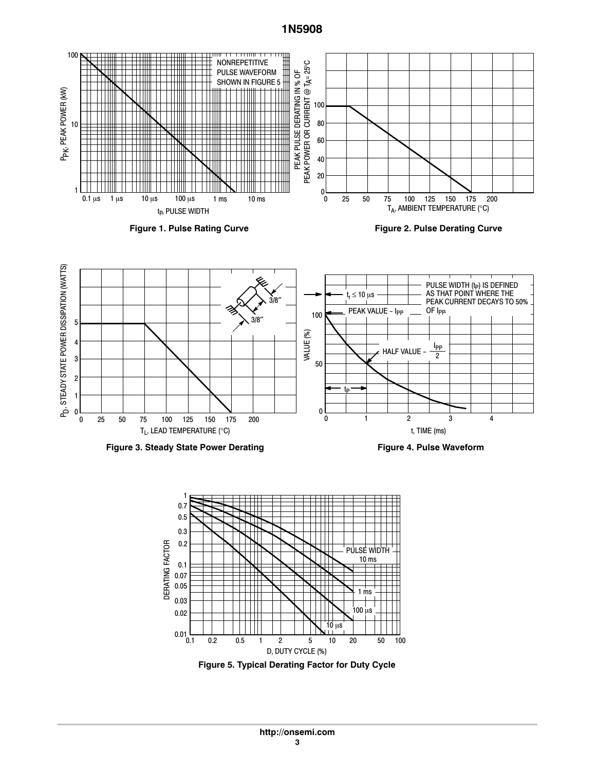# **1N5908**

<span id="page-2-0"></span>



**Figure 3. Steady State Power Derating**

**Figure 4. Pulse Waveform**



**Figure 5. Typical Derating Factor for Duty Cycle**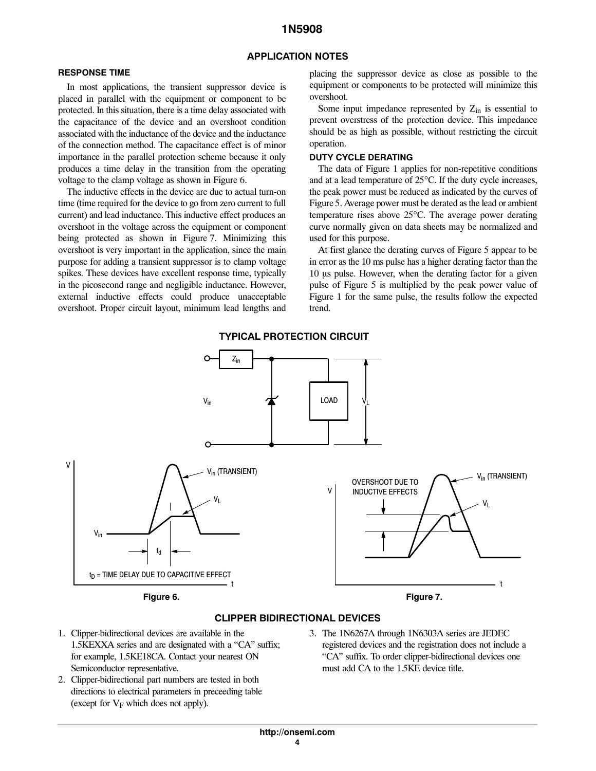# **1N5908**

#### **APPLICATION NOTES**

#### **RESPONSE TIME**

In most applications, the transient suppressor device is placed in parallel with the equipment or component to be protected. In this situation, there is a time delay associated with the capacitance of the device and an overshoot condition associated with the inductance of the device and the inductance of the connection method. The capacitance effect is of minor importance in the parallel protection scheme because it only produces a time delay in the transition from the operating voltage to the clamp voltage as shown in Figure 6.

The inductive effects in the device are due to actual turn-on time (time required for the device to go from zero current to full current) and lead inductance. This inductive effect produces an overshoot in the voltage across the equipment or component being protected as shown in Figure 7. Minimizing this overshoot is very important in the application, since the main purpose for adding a transient suppressor is to clamp voltage spikes. These devices have excellent response time, typically in the picosecond range and negligible inductance. However, external inductive effects could produce unacceptable overshoot. Proper circuit layout, minimum lead lengths and placing the suppressor device as close as possible to the equipment or components to be protected will minimize this overshoot.

Some input impedance represented by  $Z_{in}$  is essential to prevent overstress of the protection device. This impedance should be as high as possible, without restricting the circuit operation.

#### **DUTY CYCLE DERATING**

The data of Figure [1](#page-2-0) applies for non-repetitive conditions and at a lead temperature of 25°C. If the duty cycle increases, the peak power must be reduced as indicated by the curves of Figure [5.](#page-2-0) Average power must be derated as the lead or ambient temperature rises above 25°C. The average power derating curve normally given on data sheets may be normalized and used for this purpose.

At first glance the derating curves of Figure [5](#page-2-0) appear to be in error as the 10 ms pulse has a higher derating factor than the 10 µs pulse. However, when the derating factor for a given pulse of Figure [5](#page-2-0) is multiplied by the peak power value of Figure [1](#page-2-0) for the same pulse, the results follow the expected trend.



#### **CLIPPER BIDIRECTIONAL DEVICES**

- 1. Clipper‐bidirectional devices are available in the 1.5KEXXA series and are designated with a "CA" suffix; for example, 1.5KE18CA. Contact your nearest ON Semiconductor representative.
- 2. Clipper‐bidirectional part numbers are tested in both directions to electrical parameters in preceeding table (except for  $V_F$  which does not apply).
- 3. The 1N6267A through 1N6303A series are JEDEC registered devices and the registration does not include a "CA" suffix. To order clipper‐bidirectional devices one must add CA to the 1.5KE device title.